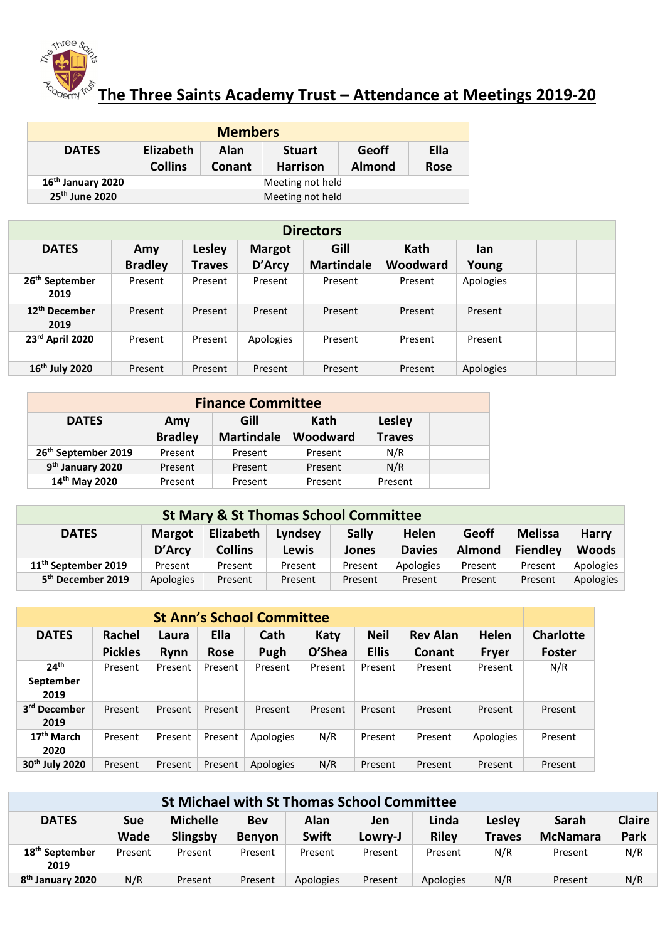

## **The Three Saints Academy Trust – Attendance at Meetings 2019-20**

| <b>Members</b>                |                             |                       |                                  |                               |                     |  |  |  |  |
|-------------------------------|-----------------------------|-----------------------|----------------------------------|-------------------------------|---------------------|--|--|--|--|
| <b>DATES</b>                  | Elizabeth<br><b>Collins</b> | Alan<br><b>Conant</b> | <b>Stuart</b><br><b>Harrison</b> | <b>Geoff</b><br><b>Almond</b> | Ella<br><b>Rose</b> |  |  |  |  |
| 16 <sup>th</sup> January 2020 |                             | Meeting not held      |                                  |                               |                     |  |  |  |  |
| 25 <sup>th</sup> June 2020    | Meeting not held            |                       |                                  |                               |                     |  |  |  |  |

| <b>Directors</b>                   |                       |                         |                         |                           |                  |              |  |  |  |  |
|------------------------------------|-----------------------|-------------------------|-------------------------|---------------------------|------------------|--------------|--|--|--|--|
| <b>DATES</b>                       | Amy<br><b>Bradley</b> | <b>Lesley</b><br>Traves | <b>Margot</b><br>D'Arcy | Gill<br><b>Martindale</b> | Kath<br>Woodward | lan<br>Young |  |  |  |  |
| 26 <sup>th</sup> September<br>2019 | Present               | Present                 | Present                 | Present                   | Present          | Apologies    |  |  |  |  |
| 12 <sup>th</sup> December<br>2019  | Present               | Present                 | Present                 | Present                   | Present          | Present      |  |  |  |  |
| 23rd April 2020                    | Present               | Present                 | Apologies               | Present                   | Present          | Present      |  |  |  |  |
| 16 <sup>th</sup> July 2020         | Present               | Present                 | Present                 | Present                   | Present          | Apologies    |  |  |  |  |

| <b>Finance Committee</b>        |                       |                           |                  |                         |  |  |  |  |  |
|---------------------------------|-----------------------|---------------------------|------------------|-------------------------|--|--|--|--|--|
| <b>DATES</b>                    | Amy<br><b>Bradley</b> | Gill<br><b>Martindale</b> | Kath<br>Woodward | Lesley<br><b>Traves</b> |  |  |  |  |  |
| 26 <sup>th</sup> September 2019 | Present               | Present                   | Present          | N/R                     |  |  |  |  |  |
| 9 <sup>th</sup> January 2020    | Present               | Present                   | Present          | N/R                     |  |  |  |  |  |
| 14th May 2020                   | Present               | Present                   | Present          | Present                 |  |  |  |  |  |

| <b>St Mary &amp; St Thomas School Committee</b> |               |                |              |              |               |               |                 |              |  |
|-------------------------------------------------|---------------|----------------|--------------|--------------|---------------|---------------|-----------------|--------------|--|
| <b>DATES</b>                                    | <b>Margot</b> | Elizabeth      | Lyndsey      | <b>Sally</b> | Helen         | <b>Geoff</b>  | <b>Melissa</b>  | <b>Harry</b> |  |
|                                                 | D'Arcy        | <b>Collins</b> | <b>Lewis</b> | Jones        | <b>Davies</b> | <b>Almond</b> | <b>Fiendley</b> | Woods        |  |
| 11 <sup>th</sup> September 2019                 | Present       | Present        | Present      | Present      | Apologies     | Present       | Present         | Apologies    |  |
| 5 <sup>th</sup> December 2019                   | Apologies     | Present        | Present      | Present      | Present       | Present       | Present         | Apologies    |  |

| <b>St Ann's School Committee</b>      |                          |               |                     |              |                |                             |                                  |                       |                                   |
|---------------------------------------|--------------------------|---------------|---------------------|--------------|----------------|-----------------------------|----------------------------------|-----------------------|-----------------------------------|
| <b>DATES</b>                          | Rachel<br><b>Pickles</b> | Laura<br>Rynn | Ella<br><b>Rose</b> | Cath<br>Pugh | Katy<br>O'Shea | <b>Neil</b><br><b>Ellis</b> | <b>Rev Alan</b><br><b>Conant</b> | Helen<br><b>Fryer</b> | <b>Charlotte</b><br><b>Foster</b> |
| 24 <sup>th</sup><br>September<br>2019 | Present                  | Present       | Present             | Present      | Present        | Present                     | Present                          | Present               | N/R                               |
| 3 <sup>rd</sup> December<br>2019      | Present                  | Present       | Present             | Present      | Present        | Present                     | Present                          | Present               | Present                           |
| 17 <sup>th</sup> March<br>2020        | Present                  | Present       | Present             | Apologies    | N/R            | Present                     | Present                          | Apologies             | Present                           |
| 30 <sup>th</sup> July 2020            | Present                  | Present       | Present             | Apologies    | N/R            | Present                     | Present                          | Present               | Present                           |

| <b>St Michael with St Thomas School Committee</b> |                           |                             |                             |                      |                |                       |                         |                          |                       |
|---------------------------------------------------|---------------------------|-----------------------------|-----------------------------|----------------------|----------------|-----------------------|-------------------------|--------------------------|-----------------------|
| <b>DATES</b>                                      | <b>Sue</b><br><b>Wade</b> | <b>Michelle</b><br>Slingsby | <b>Bev</b><br><b>Benyon</b> | Alan<br><b>Swift</b> | Jen<br>Lowry-J | Linda<br><b>Riley</b> | Lesley<br><b>Traves</b> | Sarah<br><b>McNamara</b> | <b>Claire</b><br>Park |
| 18 <sup>th</sup> September<br>2019                | Present                   | Present                     | Present                     | Present              | Present        | Present               | N/R                     | Present                  | N/R                   |
| 8 <sup>th</sup> January 2020                      | N/R                       | Present                     | Present                     | Apologies            | Present        | Apologies             | N/R                     | Present                  | N/R                   |